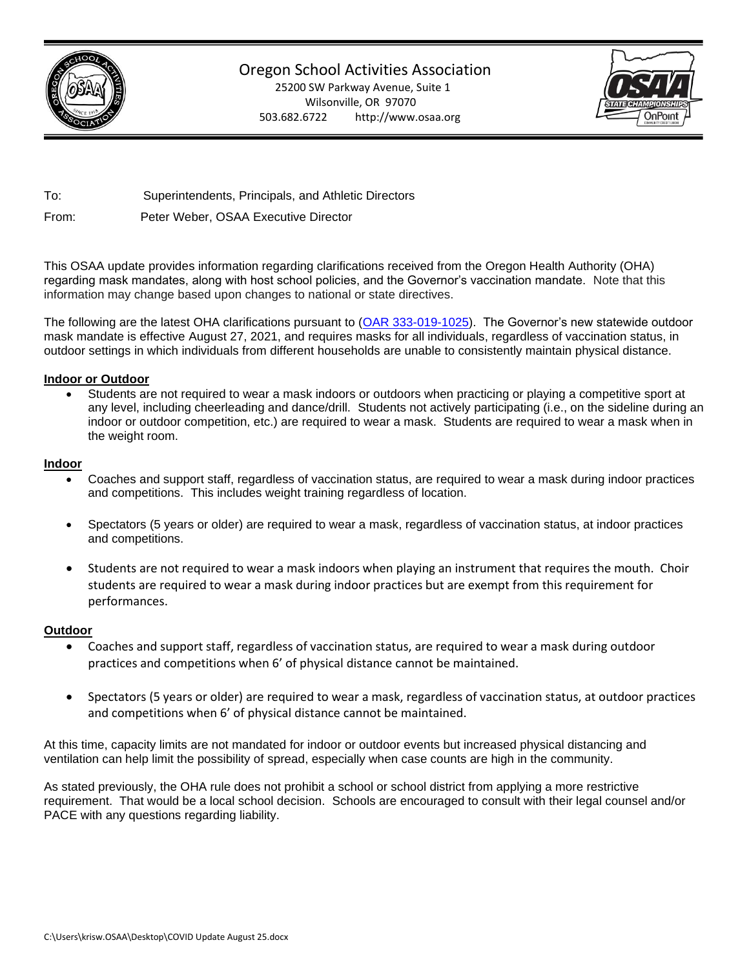

Oregon School Activities Association

25200 SW Parkway Avenue, Suite 1 Wilsonville, OR 97070 503.682.6722 http://www.osaa.org



To: Superintendents, Principals, and Athletic Directors

From: Peter Weber, OSAA Executive Director

This OSAA update provides information regarding clarifications received from the Oregon Health Authority (OHA) regarding mask mandates, along with host school policies, and the Governor's vaccination mandate. Note that this information may change based upon changes to national or state directives.

The following are the latest OHA clarifications pursuant to [\(OAR 333-019-1025\)](https://secure.sos.state.or.us/oard/viewSingleRule.action?ruleVrsnRsn=280420). The Governor's new statewide outdoor mask mandate is effective August 27, 2021, and requires masks for all individuals, regardless of vaccination status, in outdoor settings in which individuals from different households are unable to consistently maintain physical distance.

## **Indoor or Outdoor**

• Students are not required to wear a mask indoors or outdoors when practicing or playing a competitive sport at any level, including cheerleading and dance/drill. Students not actively participating (i.e., on the sideline during an indoor or outdoor competition, etc.) are required to wear a mask. Students are required to wear a mask when in the weight room.

## **Indoor**

- Coaches and support staff, regardless of vaccination status, are required to wear a mask during indoor practices and competitions. This includes weight training regardless of location.
- Spectators (5 years or older) are required to wear a mask, regardless of vaccination status, at indoor practices and competitions.
- Students are not required to wear a mask indoors when playing an instrument that requires the mouth. Choir students are required to wear a mask during indoor practices but are exempt from this requirement for performances.

# **Outdoor**

- Coaches and support staff, regardless of vaccination status, are required to wear a mask during outdoor practices and competitions when 6' of physical distance cannot be maintained.
- Spectators (5 years or older) are required to wear a mask, regardless of vaccination status, at outdoor practices and competitions when 6' of physical distance cannot be maintained.

At this time, capacity limits are not mandated for indoor or outdoor events but increased physical distancing and ventilation can help limit the possibility of spread, especially when case counts are high in the community.

As stated previously, the OHA rule does not prohibit a school or school district from applying a more restrictive requirement. That would be a local school decision. Schools are encouraged to consult with their legal counsel and/or PACE with any questions regarding liability.